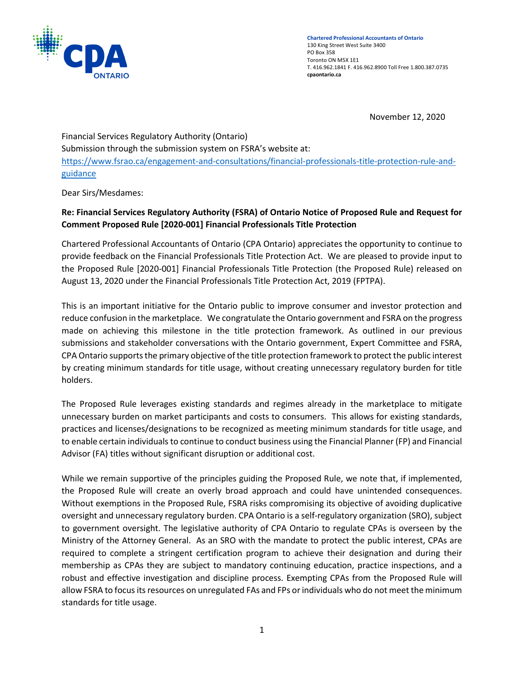

November 12, 2020

Financial Services Regulatory Authority (Ontario) Submission through the submission system on FSRA's website at: [https://www.fsrao.ca/engagement-and-consultations/financial-professionals-title-protection-rule-and](https://www.fsrao.ca/engagement-and-consultations/financial-professionals-title-protection-rule-and-guidance)[guidance](https://www.fsrao.ca/engagement-and-consultations/financial-professionals-title-protection-rule-and-guidance)

Dear Sirs/Mesdames:

# **Re: Financial Services Regulatory Authority (FSRA) of Ontario Notice of Proposed Rule and Request for Comment Proposed Rule [2020-001] Financial Professionals Title Protection**

Chartered Professional Accountants of Ontario (CPA Ontario) appreciates the opportunity to continue to provide feedback on the Financial Professionals Title Protection Act. We are pleased to provide input to the Proposed Rule [2020-001] Financial Professionals Title Protection (the Proposed Rule) released on August 13, 2020 under the Financial Professionals Title Protection Act, 2019 (FPTPA).

This is an important initiative for the Ontario public to improve consumer and investor protection and reduce confusion in the marketplace. We congratulate the Ontario government and FSRA on the progress made on achieving this milestone in the title protection framework. As outlined in our previous submissions and stakeholder conversations with the Ontario government, Expert Committee and FSRA, CPA Ontario supports the primary objective of the title protection framework to protect the public interest by creating minimum standards for title usage, without creating unnecessary regulatory burden for title holders.

The Proposed Rule leverages existing standards and regimes already in the marketplace to mitigate unnecessary burden on market participants and costs to consumers. This allows for existing standards, practices and licenses/designations to be recognized as meeting minimum standards for title usage, and to enable certain individuals to continue to conduct business using the Financial Planner (FP) and Financial Advisor (FA) titles without significant disruption or additional cost.

While we remain supportive of the principles guiding the Proposed Rule, we note that, if implemented, the Proposed Rule will create an overly broad approach and could have unintended consequences. Without exemptions in the Proposed Rule, FSRA risks compromising its objective of avoiding duplicative oversight and unnecessary regulatory burden. CPA Ontario is a self-regulatory organization (SRO), subject to government oversight. The legislative authority of CPA Ontario to regulate CPAs is overseen by the Ministry of the Attorney General. As an SRO with the mandate to protect the public interest, CPAs are required to complete a stringent certification program to achieve their designation and during their membership as CPAs they are subject to mandatory continuing education, practice inspections, and a robust and effective investigation and discipline process. Exempting CPAs from the Proposed Rule will allow FSRA to focus its resources on unregulated FAs and FPs or individuals who do not meet the minimum standards for title usage.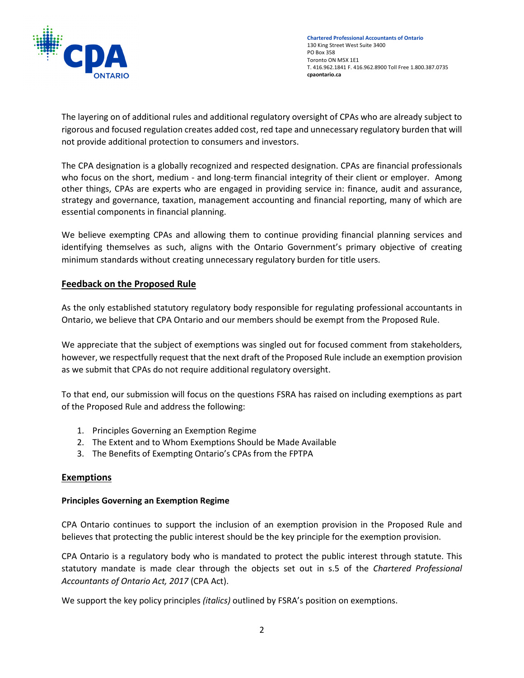

The layering on of additional rules and additional regulatory oversight of CPAs who are already subject to rigorous and focused regulation creates added cost, red tape and unnecessary regulatory burden that will not provide additional protection to consumers and investors.

The CPA designation is a globally recognized and respected designation. CPAs are financial professionals who focus on the short, medium - and long-term financial integrity of their client or employer. Among other things, CPAs are experts who are engaged in providing service in: finance, audit and assurance, strategy and governance, taxation, management accounting and financial reporting, many of which are essential components in financial planning.

We believe exempting CPAs and allowing them to continue providing financial planning services and identifying themselves as such, aligns with the Ontario Government's primary objective of creating minimum standards without creating unnecessary regulatory burden for title users.

# **Feedback on the Proposed Rule**

As the only established statutory regulatory body responsible for regulating professional accountants in Ontario, we believe that CPA Ontario and our members should be exempt from the Proposed Rule.

We appreciate that the subject of exemptions was singled out for focused comment from stakeholders, however, we respectfully request that the next draft of the Proposed Rule include an exemption provision as we submit that CPAs do not require additional regulatory oversight.

To that end, our submission will focus on the questions FSRA has raised on including exemptions as part of the Proposed Rule and address the following:

- 1. Principles Governing an Exemption Regime
- 2. The Extent and to Whom Exemptions Should be Made Available
- 3. The Benefits of Exempting Ontario's CPAs from the FPTPA

# **Exemptions**

#### **Principles Governing an Exemption Regime**

CPA Ontario continues to support the inclusion of an exemption provision in the Proposed Rule and believes that protecting the public interest should be the key principle for the exemption provision.

CPA Ontario is a regulatory body who is mandated to protect the public interest through statute. This statutory mandate is made clear through the objects set out in s.5 of the *Chartered Professional Accountants of Ontario Act, 2017* (CPA Act).

We support the key policy principles *(italics)* outlined by FSRA's position on exemptions.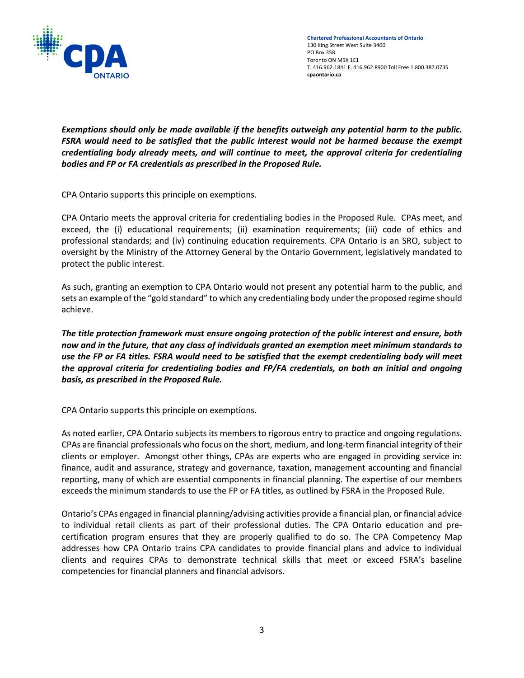

**Chartered Professional Accountants of Ontario** 130 King Street West Suite 3400 PO Box 358 Toronto ON M5X 1E1 T. 416.962.1841 F. 416.962.8900 Toll Free 1.800.387.0735 **cpaontario.ca**

*Exemptions should only be made available if the benefits outweigh any potential harm to the public. FSRA would need to be satisfied that the public interest would not be harmed because the exempt credentialing body already meets, and will continue to meet, the approval criteria for credentialing bodies and FP or FA credentials as prescribed in the Proposed Rule.*

CPA Ontario supports this principle on exemptions.

CPA Ontario meets the approval criteria for credentialing bodies in the Proposed Rule. CPAs meet, and exceed, the (i) educational requirements; (ii) examination requirements; (iii) code of ethics and professional standards; and (iv) continuing education requirements. CPA Ontario is an SRO, subject to oversight by the Ministry of the Attorney General by the Ontario Government, legislatively mandated to protect the public interest.

As such, granting an exemption to CPA Ontario would not present any potential harm to the public, and sets an example of the "gold standard" to which any credentialing body under the proposed regime should achieve.

*The title protection framework must ensure ongoing protection of the public interest and ensure, both now and in the future, that any class of individuals granted an exemption meet minimum standards to use the FP or FA titles. FSRA would need to be satisfied that the exempt credentialing body will meet the approval criteria for credentialing bodies and FP/FA credentials, on both an initial and ongoing basis, as prescribed in the Proposed Rule.*

CPA Ontario supports this principle on exemptions.

As noted earlier, CPA Ontario subjects its members to rigorous entry to practice and ongoing regulations. CPAs are financial professionals who focus on the short, medium, and long-term financial integrity of their clients or employer. Amongst other things, CPAs are experts who are engaged in providing service in: finance, audit and assurance, strategy and governance, taxation, management accounting and financial reporting, many of which are essential components in financial planning. The expertise of our members exceeds the minimum standards to use the FP or FA titles, as outlined by FSRA in the Proposed Rule.

Ontario's CPAs engaged in financial planning/advising activities provide a financial plan, or financial advice to individual retail clients as part of their professional duties. The CPA Ontario education and precertification program ensures that they are properly qualified to do so. The CPA Competency Map addresses how CPA Ontario trains CPA candidates to provide financial plans and advice to individual clients and requires CPAs to demonstrate technical skills that meet or exceed FSRA's baseline competencies for financial planners and financial advisors.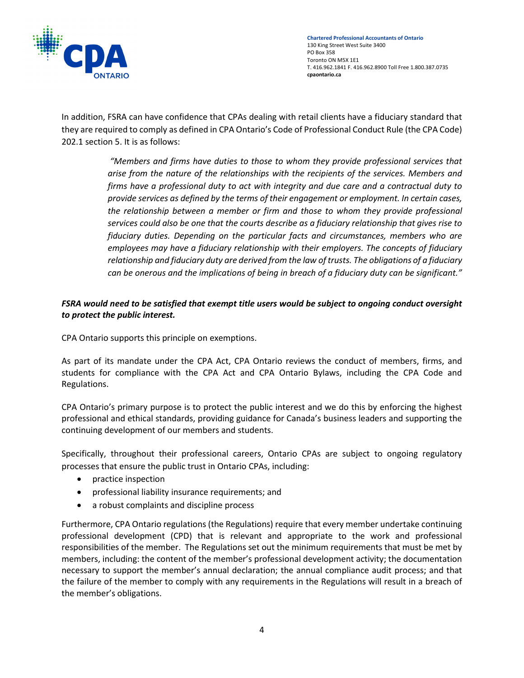

In addition, FSRA can have confidence that CPAs dealing with retail clients have a fiduciary standard that they are required to comply as defined in CPA Ontario's Code of Professional Conduct Rule (the CPA Code) 202.1 section 5. It is as follows:

> *"Members and firms have duties to those to whom they provide professional services that arise from the nature of the relationships with the recipients of the services. Members and firms have a professional duty to act with integrity and due care and a contractual duty to provide services as defined by the terms of their engagement or employment. In certain cases, the relationship between a member or firm and those to whom they provide professional services could also be one that the courts describe as a fiduciary relationship that gives rise to fiduciary duties. Depending on the particular facts and circumstances, members who are employees may have a fiduciary relationship with their employers. The concepts of fiduciary relationship and fiduciary duty are derived from the law of trusts. The obligations of a fiduciary can be onerous and the implications of being in breach of a fiduciary duty can be significant."*

### *FSRA would need to be satisfied that exempt title users would be subject to ongoing conduct oversight to protect the public interest.*

CPA Ontario supports this principle on exemptions.

As part of its mandate under the CPA Act, CPA Ontario reviews the conduct of members, firms, and students for compliance with the CPA Act and CPA Ontario Bylaws, including the CPA Code and Regulations.

CPA Ontario's primary purpose is to protect the public interest and we do this by enforcing the highest professional and ethical standards, providing guidance for Canada's business leaders and supporting the continuing development of our members and students.

Specifically, throughout their professional careers, Ontario CPAs are subject to ongoing regulatory processes that ensure the public trust in Ontario CPAs, including:

- practice inspection
- professional liability insurance requirements; and
- a robust complaints and discipline process

Furthermore, CPA Ontario regulations (the Regulations) require that every member undertake continuing professional development (CPD) that is relevant and appropriate to the work and professional responsibilities of the member. The Regulations set out the minimum requirements that must be met by members, including: the content of the member's professional development activity; the documentation necessary to support the member's annual declaration; the annual compliance audit process; and that the failure of the member to comply with any requirements in the Regulations will result in a breach of the member's obligations.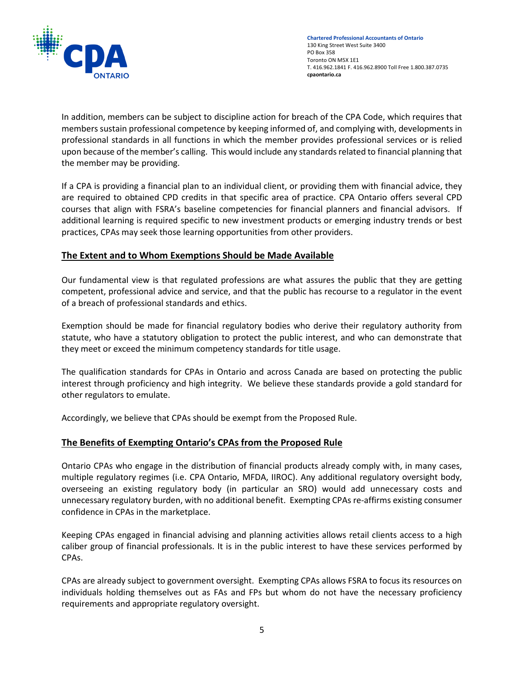

In addition, members can be subject to discipline action for breach of the CPA Code, which requires that members sustain professional competence by keeping informed of, and complying with, developments in professional standards in all functions in which the member provides professional services or is relied upon because of the member's calling. This would include any standards related to financial planning that the member may be providing.

If a CPA is providing a financial plan to an individual client, or providing them with financial advice, they are required to obtained CPD credits in that specific area of practice. CPA Ontario offers several CPD courses that align with FSRA's baseline competencies for financial planners and financial advisors. If additional learning is required specific to new investment products or emerging industry trends or best practices, CPAs may seek those learning opportunities from other providers.

#### **The Extent and to Whom Exemptions Should be Made Available**

Our fundamental view is that regulated professions are what assures the public that they are getting competent, professional advice and service, and that the public has recourse to a regulator in the event of a breach of professional standards and ethics.

Exemption should be made for financial regulatory bodies who derive their regulatory authority from statute, who have a statutory obligation to protect the public interest, and who can demonstrate that they meet or exceed the minimum competency standards for title usage.

The qualification standards for CPAs in Ontario and across Canada are based on protecting the public interest through proficiency and high integrity. We believe these standards provide a gold standard for other regulators to emulate.

Accordingly, we believe that CPAs should be exempt from the Proposed Rule.

# **The Benefits of Exempting Ontario's CPAs from the Proposed Rule**

Ontario CPAs who engage in the distribution of financial products already comply with, in many cases, multiple regulatory regimes (i.e. CPA Ontario, MFDA, IIROC). Any additional regulatory oversight body, overseeing an existing regulatory body (in particular an SRO) would add unnecessary costs and unnecessary regulatory burden, with no additional benefit. Exempting CPAs re-affirms existing consumer confidence in CPAs in the marketplace.

Keeping CPAs engaged in financial advising and planning activities allows retail clients access to a high caliber group of financial professionals. It is in the public interest to have these services performed by CPAs.

CPAs are already subject to government oversight. Exempting CPAs allows FSRA to focus its resources on individuals holding themselves out as FAs and FPs but whom do not have the necessary proficiency requirements and appropriate regulatory oversight.